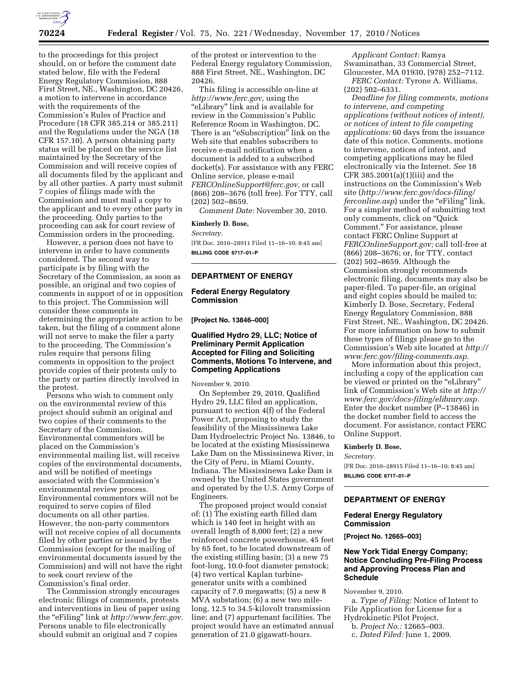

to the proceedings for this project should, on or before the comment date stated below, file with the Federal Energy Regulatory Commission, 888 First Street, NE., Washington, DC 20426, a motion to intervene in accordance with the requirements of the Commission's Rules of Practice and Procedure (18 CFR 385.214 or 385.211) and the Regulations under the NGA (18 CFR 157.10). A person obtaining party status will be placed on the service list maintained by the Secretary of the Commission and will receive copies of all documents filed by the applicant and by all other parties. A party must submit 7 copies of filings made with the Commission and must mail a copy to the applicant and to every other party in the proceeding. Only parties to the proceeding can ask for court review of Commission orders in the proceeding.

However, a person does not have to intervene in order to have comments considered. The second way to participate is by filing with the Secretary of the Commission, as soon as possible, an original and two copies of comments in support of or in opposition to this project. The Commission will consider these comments in determining the appropriate action to be taken, but the filing of a comment alone will not serve to make the filer a party to the proceeding. The Commission's rules require that persons filing comments in opposition to the project provide copies of their protests only to the party or parties directly involved in the protest.

Persons who wish to comment only on the environmental review of this project should submit an original and two copies of their comments to the Secretary of the Commission. Environmental commentors will be placed on the Commission's environmental mailing list, will receive copies of the environmental documents, and will be notified of meetings associated with the Commission's environmental review process. Environmental commentors will not be required to serve copies of filed documents on all other parties. However, the non-party commentors will not receive copies of all documents filed by other parties or issued by the Commission (except for the mailing of environmental documents issued by the Commission) and will not have the right to seek court review of the Commission's final order.

The Commission strongly encourages electronic filings of comments, protests and interventions in lieu of paper using the ''eFiling'' link at *[http://www.ferc.gov.](http://www.ferc.gov)*  Persons unable to file electronically should submit an original and 7 copies

of the protest or intervention to the Federal Energy regulatory Commission, 888 First Street, NE., Washington, DC 20426.

This filing is accessible on-line at *[http://www.ferc.gov,](http://www.ferc.gov)* using the ''eLibrary'' link and is available for review in the Commission's Public Reference Room in Washington, DC. There is an "eSubscription" link on the Web site that enables subscribers to receive e-mail notification when a document is added to a subscribed docket(s). For assistance with any FERC Online service, please e-mail *[FERCOnlineSupport@ferc.gov,](mailto:FERCOnlineSupport@ferc.gov)* or call (866) 208–3676 (toll free). For TTY, call (202) 502–8659.

*Comment Date:* November 30, 2010.

#### **Kimberly D. Bose,**

*Secretary.* 

[FR Doc. 2010–28911 Filed 11–16–10; 8:45 am] **BILLING CODE 6717–01–P** 

# **DEPARTMENT OF ENERGY**

# **Federal Energy Regulatory Commission**

**[Project No. 13846–000]** 

## **Qualified Hydro 29, LLC; Notice of Preliminary Permit Application Accepted for Filing and Soliciting Comments, Motions To Intervene, and Competing Applications**

November 9, 2010.

On September 29, 2010, Qualified Hydro 29, LLC filed an application, pursuant to section 4(f) of the Federal Power Act, proposing to study the feasibility of the Mississinewa Lake Dam Hydroelectric Project No. 13846, to be located at the existing Mississinewa Lake Dam on the Mississinewa River, in the City of Peru, in Miami County, Indiana. The Mississinewa Lake Dam is owned by the United States government and operated by the U.S. Army Corps of Engineers.

The proposed project would consist of: (1) The existing earth filled dam which is 140 feet in height with an overall length of 8,000 feet; (2) a new reinforced concrete powerhouse, 45 feet by 65 feet, to be located downstream of the existing stilling basin; (3) a new 75 foot-long, 10.0-foot diameter penstock; (4) two vertical Kaplan turbinegenerator units with a combined capacity of 7.0 megawatts; (5) a new 8 MVA substation; (6) a new two milelong, 12.5 to 34.5-kilovolt transmission line; and (7) appurtenant facilities. The project would have an estimated annual generation of 21.0 gigawatt-hours.

*Applicant Contact:* Ramya Swaminathan, 33 Commercial Street, Gloucester, MA 01930, (978) 252–7112.

*FERC Contact:* Tyrone A. Williams, (202) 502–6331.

*Deadline for filing comments, motions to intervene, and competing applications (without notices of intent), or notices of intent to file competing applications:* 60 days from the issuance date of this notice. Comments, motions to intervene, notices of intent, and competing applications may be filed electronically via the Internet. *See* 18 CFR 385.2001(a)(1)(iii) and the instructions on the Commission's Web site (*[http://www.ferc.gov/docs-filing/](http://www.ferc.gov/docs-filing/ferconline.asp) [ferconline.asp](http://www.ferc.gov/docs-filing/ferconline.asp)*) under the "eFiling" link. For a simpler method of submitting text only comments, click on ''Quick Comment.'' For assistance, please contact FERC Online Support at *FERCOnlineSupport.gov;* call toll-free at (866) 208–3676; or, for TTY, contact (202) 502–8659. Although the Commission strongly recommends electronic filing, documents may also be paper-filed. To paper-file, an original and eight copies should be mailed to: Kimberly D. Bose, Secretary, Federal Energy Regulatory Commission, 888 First Street, NE., Washington, DC 20426. For more information on how to submit these types of filings please go to the Commission's Web site located at *[http://](http://www.ferc.gov/filing-comments.asp) [www.ferc.gov/filing-comments.asp.](http://www.ferc.gov/filing-comments.asp)* 

More information about this project, including a copy of the application can be viewed or printed on the "eLibrary" link of Commission's Web site at *[http://](http://www.ferc.gov/docs-filing/elibrary.asp) [www.ferc.gov/docs-filing/elibrary.asp.](http://www.ferc.gov/docs-filing/elibrary.asp)*  Enter the docket number (P–13846) in the docket number field to access the document. For assistance, contact FERC Online Support.

# **Kimberly D. Bose,**

*Secretary.* 

[FR Doc. 2010–28915 Filed 11–16–10; 8:45 am] **BILLING CODE 6717–01–P** 

## **DEPARTMENT OF ENERGY**

#### **Federal Energy Regulatory Commission**

**[Project No. 12665–003]** 

# **New York Tidal Energy Company; Notice Concluding Pre-Filing Process and Approving Process Plan and Schedule**

November 9, 2010.

a. *Type of Filing:* Notice of Intent to File Application for License for a Hydrokinetic Pilot Project.

b. *Project No.:* 12665–003.

c. *Dated Filed:* June 1, 2009.